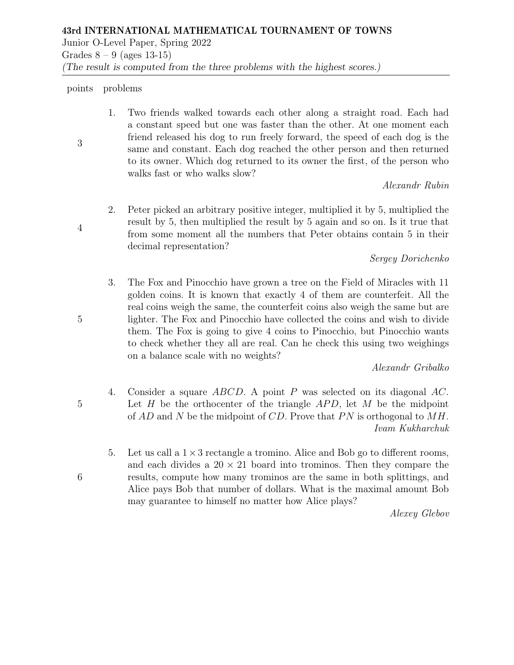Grades  $8 - 9$  (ages 13-15)

(The result is computed from the three problems with the highest scores.)

## points problems

1. Two friends walked towards each other along a straight road. Each had a constant speed but one was faster than the other. At one moment each friend released his dog to run freely forward, the speed of each dog is the same and constant. Each dog reached the other person and then returned to its owner. Which dog returned to its owner the first, of the person who walks fast or who walks slow?

Alexandr Rubin

2. Peter picked an arbitrary positive integer, multiplied it by 5, multiplied the result by 5, then multiplied the result by 5 again and so on. Is it true that from some moment all the numbers that Peter obtains contain 5 in their decimal representation?

Sergey Dorichenko

3. The Fox and Pinocchio have grown a tree on the Field of Miracles with 11 golden coins. It is known that exactly 4 of them are counterfeit. All the real coins weigh the same, the counterfeit coins also weigh the same but are lighter. The Fox and Pinocchio have collected the coins and wish to divide them. The Fox is going to give 4 coins to Pinocchio, but Pinocchio wants to check whether they all are real. Can he check this using two weighings on a balance scale with no weights?

Alexandr Gribalko

- 4. Consider a square ABCD. A point P was selected on its diagonal AC. Let H be the orthocenter of the triangle  $APD$ , let M be the midpoint of  $AD$  and N be the midpoint of CD. Prove that PN is orthogonal to  $MH$ . Ivam Kukharchuk
	- 5. Let us call a  $1 \times 3$  rectangle a tromino. Alice and Bob go to different rooms, and each divides a  $20 \times 21$  board into trominos. Then they compare the results, compute how many trominos are the same in both splittings, and Alice pays Bob that number of dollars. What is the maximal amount Bob may guarantee to himself no matter how Alice plays?

Alexey Glebov

5

5

6

3

4